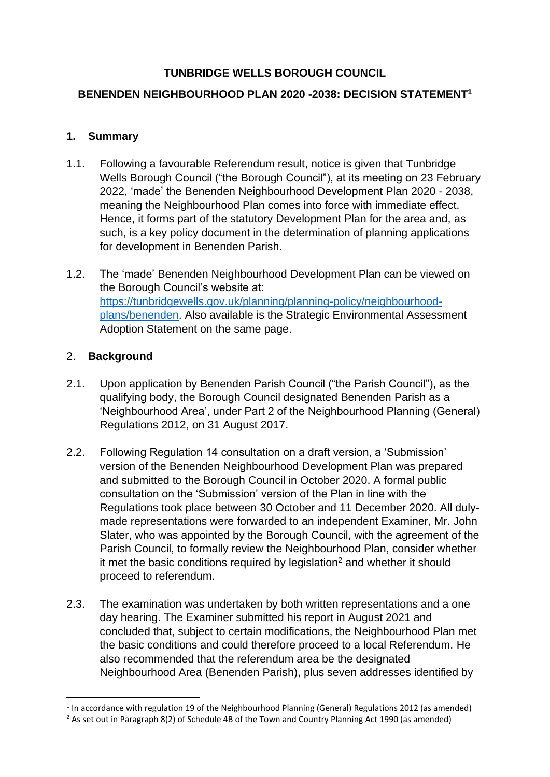## **TUNBRIDGE WELLS BOROUGH COUNCIL**

## **BENENDEN NEIGHBOURHOOD PLAN 2020 -2038: DECISION STATEMENT<sup>1</sup>**

#### **1. Summary**

- 1.1. Following a favourable Referendum result, notice is given that Tunbridge Wells Borough Council ("the Borough Council"), at its meeting on 23 February 2022, 'made' the Benenden Neighbourhood Development Plan 2020 - 2038, meaning the Neighbourhood Plan comes into force with immediate effect. Hence, it forms part of the statutory Development Plan for the area and, as such, is a key policy document in the determination of planning applications for development in Benenden Parish.
- 1.2. The 'made' Benenden Neighbourhood Development Plan can be viewed on the Borough Council's website at: [https://tunbridgewells.gov.uk/planning/planning-policy/neighbourhood](https://tunbridgewells.gov.uk/planning/planning-policy/neighbourhood-plans/benenden)[plans/benenden.](https://tunbridgewells.gov.uk/planning/planning-policy/neighbourhood-plans/benenden) Also available is the Strategic Environmental Assessment Adoption Statement on the same page.

#### 2. **Background**

- 2.1. Upon application by Benenden Parish Council ("the Parish Council"), as the qualifying body, the Borough Council designated Benenden Parish as a 'Neighbourhood Area', under Part 2 of the Neighbourhood Planning (General) Regulations 2012, on 31 August 2017.
- 2.2. Following Regulation 14 consultation on a draft version, a 'Submission' version of the Benenden Neighbourhood Development Plan was prepared and submitted to the Borough Council in October 2020. A formal public consultation on the 'Submission' version of the Plan in line with the Regulations took place between 30 October and 11 December 2020. All dulymade representations were forwarded to an independent Examiner, Mr. John Slater, who was appointed by the Borough Council, with the agreement of the Parish Council, to formally review the Neighbourhood Plan, consider whether it met the basic conditions required by legislation<sup>2</sup> and whether it should proceed to referendum.
- 2.3. The examination was undertaken by both written representations and a one day hearing. The Examiner submitted his report in August 2021 and concluded that, subject to certain modifications, the Neighbourhood Plan met the basic conditions and could therefore proceed to a local Referendum. He also recommended that the referendum area be the designated Neighbourhood Area (Benenden Parish), plus seven addresses identified by

<sup>&</sup>lt;sup>1</sup> In accordance with regulation 19 of the Neighbourhood Planning (General) Regulations 2012 (as amended)

<sup>&</sup>lt;sup>2</sup> As set out in Paragraph 8(2) of Schedule 4B of the Town and Country Planning Act 1990 (as amended)